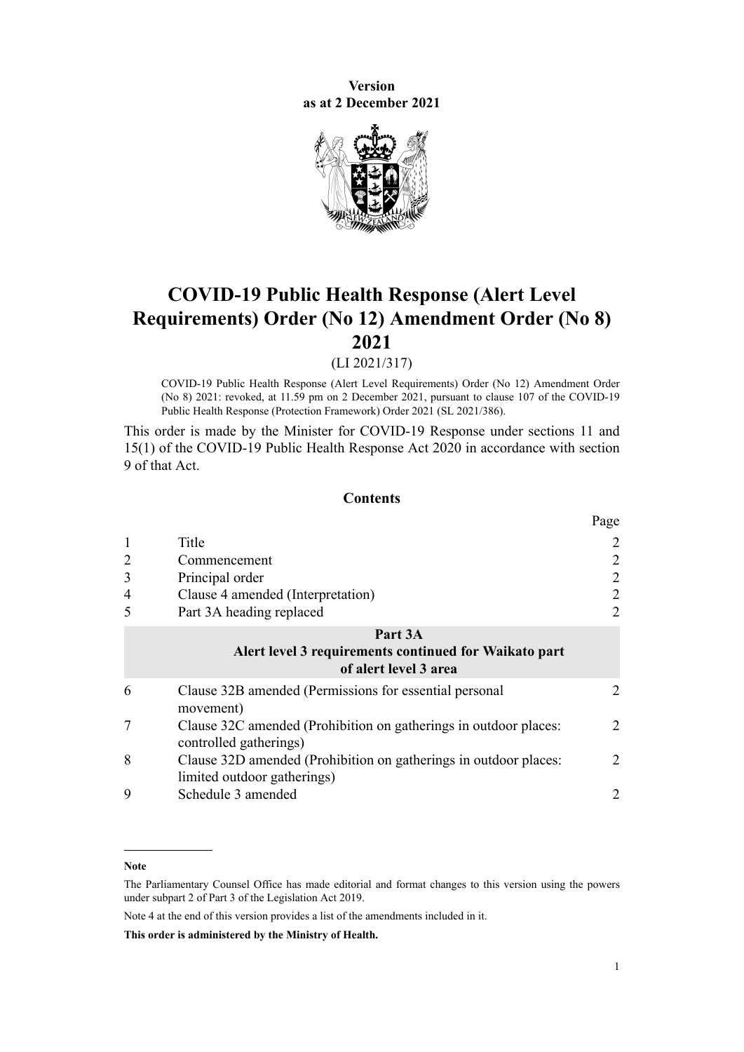**Version as at 2 December 2021**



# **COVID-19 Public Health Response (Alert Level Requirements) Order (No 12) Amendment Order (No 8) 2021**

(LI 2021/317)

COVID-19 Public Health Response (Alert Level Requirements) Order (No 12) Amendment Order (No 8) 2021: revoked, at 11.59 pm on 2 December 2021, pursuant to [clause 107](http://legislation.govt.nz/pdflink.aspx?id=LMS574550) of the COVID-19 Public Health Response (Protection Framework) Order 2021 (SL 2021/386).

This order is made by the Minister for COVID-19 Response under [sections 11](http://legislation.govt.nz/pdflink.aspx?id=LMS344177) and [15\(1\)](http://legislation.govt.nz/pdflink.aspx?id=LMS344183) of the [COVID-19 Public Health Response Act 2020](http://legislation.govt.nz/pdflink.aspx?id=LMS344121) in accordance with section 9 of that Act.

#### **Contents**

|                |                                                                                                 | Page           |
|----------------|-------------------------------------------------------------------------------------------------|----------------|
| 1              | Title                                                                                           | 2              |
| $\overline{2}$ | Commencement                                                                                    | 2              |
| 3              | Principal order                                                                                 | 2              |
| 4              | Clause 4 amended (Interpretation)                                                               | 2              |
| 5              | Part 3A heading replaced                                                                        | 2              |
|                | Part 3A<br>Alert level 3 requirements continued for Waikato part<br>of alert level 3 area       |                |
| 6              | Clause 32B amended (Permissions for essential personal<br>movement)                             | 2              |
| 7              | Clause 32C amended (Prohibition on gatherings in outdoor places:<br>controlled gatherings)      | $\overline{2}$ |
| 8              | Clause 32D amended (Prohibition on gatherings in outdoor places:<br>limited outdoor gatherings) | 2              |
| 9              | Schedule 3 amended                                                                              | 2              |

Note 4 at the end of this version provides a list of the amendments included in it.

**This order is administered by the Ministry of Health.**

**Note**

The Parliamentary Counsel Office has made editorial and format changes to this version using the powers under [subpart 2](http://legislation.govt.nz/pdflink.aspx?id=DLM7298371) of Part 3 of the Legislation Act 2019.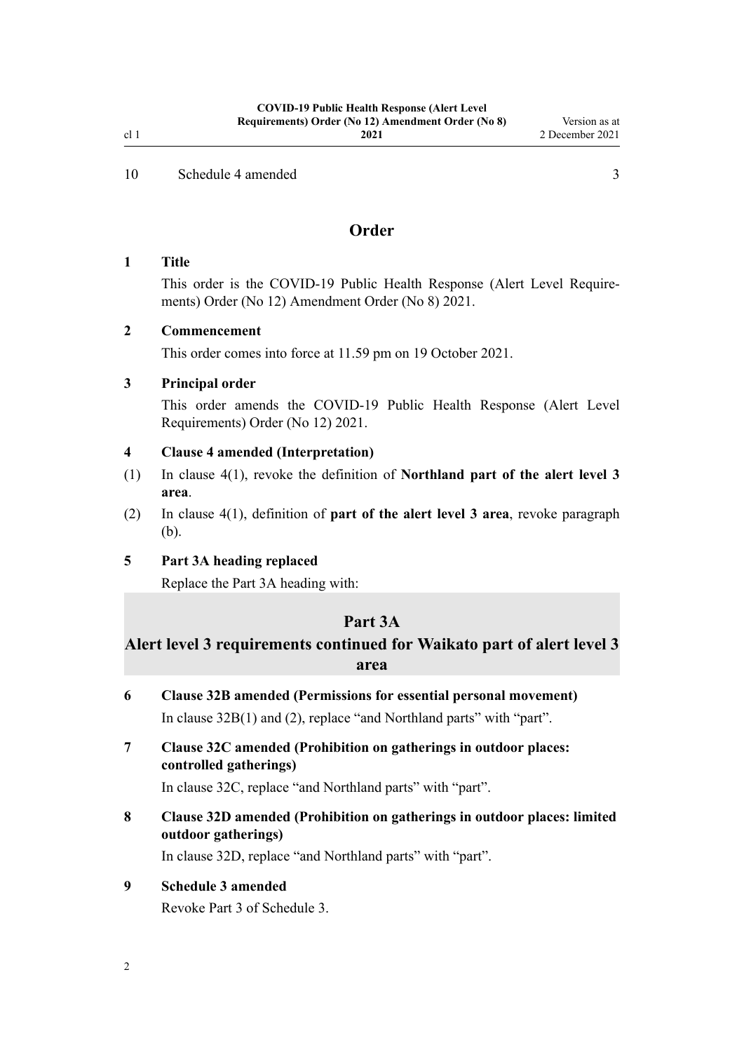<span id="page-1-0"></span>[10](#page-2-0) [Schedule 4 amended](#page-2-0) [3](#page-2-0)

## **Order**

#### **1 Title**

This order is the COVID-19 Public Health Response (Alert Level Require‐ ments) Order (No 12) Amendment Order (No 8) 2021.

## **2 Commencement**

This order comes into force at 11.59 pm on 19 October 2021.

## **3 Principal order**

This order amends the [COVID-19 Public Health Response \(Alert Level](http://legislation.govt.nz/pdflink.aspx?id=LMS549702) [Requirements\) Order \(No 12\) 2021](http://legislation.govt.nz/pdflink.aspx?id=LMS549702).

#### **4 Clause 4 amended (Interpretation)**

- (1) In [clause 4\(1\),](http://legislation.govt.nz/pdflink.aspx?id=LMS549815) revoke the definition of **Northland part of the alert level 3 area**.
- (2) In [clause 4\(1\),](http://legislation.govt.nz/pdflink.aspx?id=LMS549815) definition of **part of the alert level 3 area**, revoke paragraph (b).

## **5 Part 3A heading replaced**

Replace the [Part 3A](http://legislation.govt.nz/pdflink.aspx?id=LMS563993) heading with:

## **Part 3A**

## **Alert level 3 requirements continued for Waikato part of alert level 3 area**

- **6 Clause 32B amended (Permissions for essential personal movement)** In [clause 32B\(1\) and \(2\),](http://legislation.govt.nz/pdflink.aspx?id=LMS563990) replace "and Northland parts" with "part".
- **7 Clause 32C amended (Prohibition on gatherings in outdoor places: controlled gatherings)**

In [clause 32C](http://legislation.govt.nz/pdflink.aspx?id=LMS563991), replace "and Northland parts" with "part".

**8 Clause 32D amended (Prohibition on gatherings in outdoor places: limited outdoor gatherings)**

In [clause 32D](http://legislation.govt.nz/pdflink.aspx?id=LMS563992), replace "and Northland parts" with "part".

## **9 Schedule 3 amended**

Revoke [Part 3](http://legislation.govt.nz/pdflink.aspx?id=LMS566689) of Schedule 3.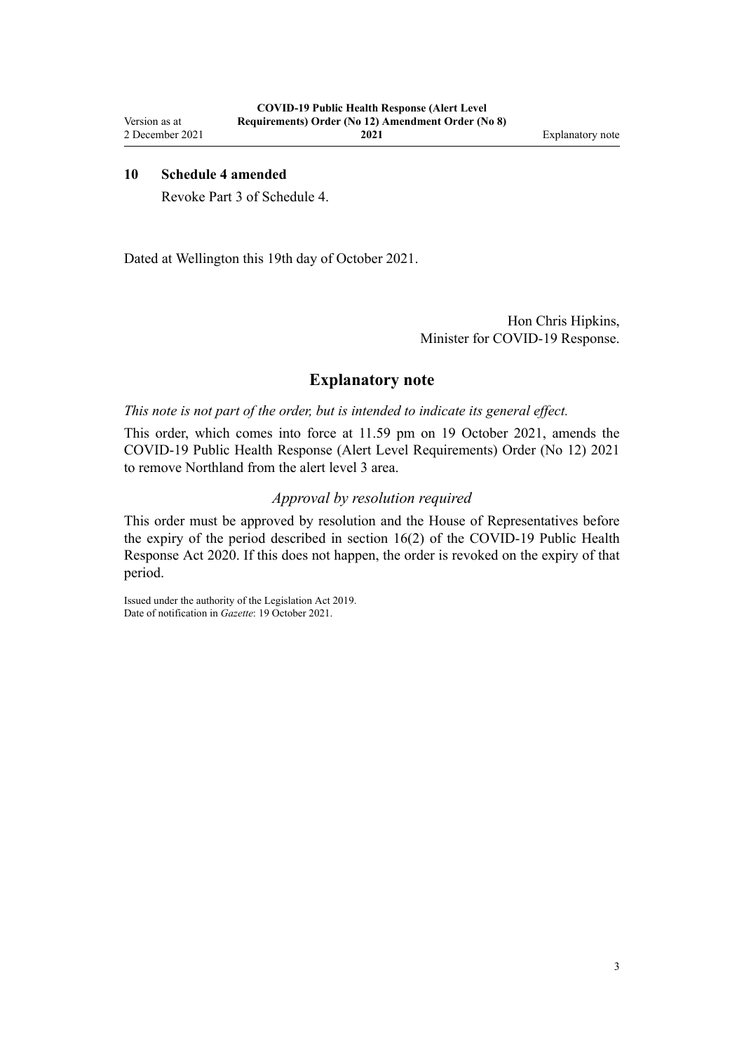## <span id="page-2-0"></span>**10 Schedule 4 amended**

Revoke [Part 3](http://legislation.govt.nz/pdflink.aspx?id=LMS566891) of Schedule 4.

Dated at Wellington this 19th day of October 2021.

Hon Chris Hipkins, Minister for COVID-19 Response.

## **Explanatory note**

*This note is not part of the order, but is intended to indicate its general effect.*

This order, which comes into force at 11.59 pm on 19 October 2021, amends the [COVID-19 Public Health Response \(Alert Level Requirements\) Order \(No 12\) 2021](http://legislation.govt.nz/pdflink.aspx?id=LMS549702) to remove Northland from the alert level 3 area.

## *Approval by resolution required*

This order must be approved by resolution and the House of Representatives before the expiry of the period described in [section 16\(2\)](http://legislation.govt.nz/pdflink.aspx?id=LMS344186) of the COVID-19 Public Health Response Act 2020. If this does not happen, the order is revoked on the expiry of that period.

Issued under the authority of the [Legislation Act 2019](http://legislation.govt.nz/pdflink.aspx?id=DLM7298104). Date of notification in *Gazette*: 19 October 2021.